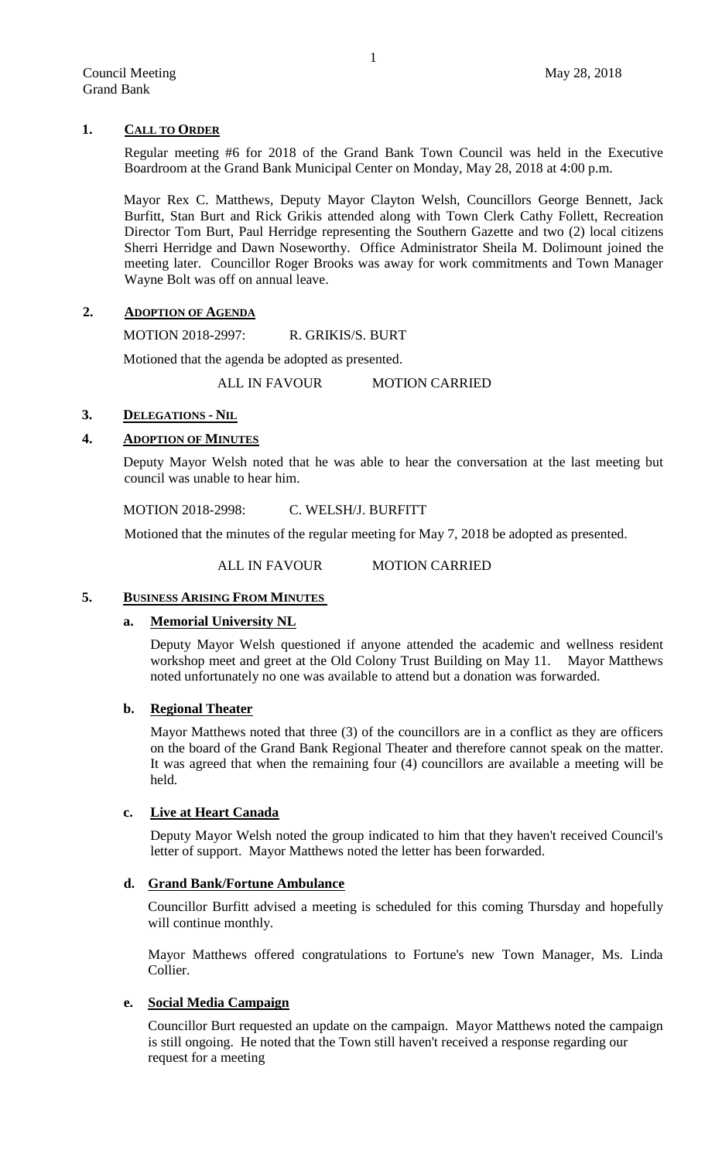#### **1. CALL TO ORDER**

Regular meeting #6 for 2018 of the Grand Bank Town Council was held in the Executive Boardroom at the Grand Bank Municipal Center on Monday, May 28, 2018 at 4:00 p.m.

Mayor Rex C. Matthews, Deputy Mayor Clayton Welsh, Councillors George Bennett, Jack Burfitt, Stan Burt and Rick Grikis attended along with Town Clerk Cathy Follett, Recreation Director Tom Burt, Paul Herridge representing the Southern Gazette and two (2) local citizens Sherri Herridge and Dawn Noseworthy. Office Administrator Sheila M. Dolimount joined the meeting later. Councillor Roger Brooks was away for work commitments and Town Manager Wayne Bolt was off on annual leave.

#### **2. ADOPTION OF AGENDA**

MOTION 2018-2997: R. GRIKIS/S. BURT

Motioned that the agenda be adopted as presented.

ALL IN FAVOUR MOTION CARRIED

#### **3. DELEGATIONS - NIL**

#### **4. ADOPTION OF MINUTES**

Deputy Mayor Welsh noted that he was able to hear the conversation at the last meeting but council was unable to hear him.

MOTION 2018-2998: C. WELSH/J. BURFITT

Motioned that the minutes of the regular meeting for May 7, 2018 be adopted as presented.

#### ALL IN FAVOUR MOTION CARRIED

#### **5. BUSINESS ARISING FROM MINUTES**

#### **a. Memorial University NL**

Deputy Mayor Welsh questioned if anyone attended the academic and wellness resident workshop meet and greet at the Old Colony Trust Building on May 11. Mayor Matthews noted unfortunately no one was available to attend but a donation was forwarded.

# **b. Regional Theater**

Mayor Matthews noted that three (3) of the councillors are in a conflict as they are officers on the board of the Grand Bank Regional Theater and therefore cannot speak on the matter. It was agreed that when the remaining four (4) councillors are available a meeting will be held.

#### **c. Live at Heart Canada**

Deputy Mayor Welsh noted the group indicated to him that they haven't received Council's letter of support. Mayor Matthews noted the letter has been forwarded.

#### **d. Grand Bank/Fortune Ambulance**

Councillor Burfitt advised a meeting is scheduled for this coming Thursday and hopefully will continue monthly.

Mayor Matthews offered congratulations to Fortune's new Town Manager, Ms. Linda Collier.

# **e. Social Media Campaign**

Councillor Burt requested an update on the campaign. Mayor Matthews noted the campaign is still ongoing. He noted that the Town still haven't received a response regarding our request for a meeting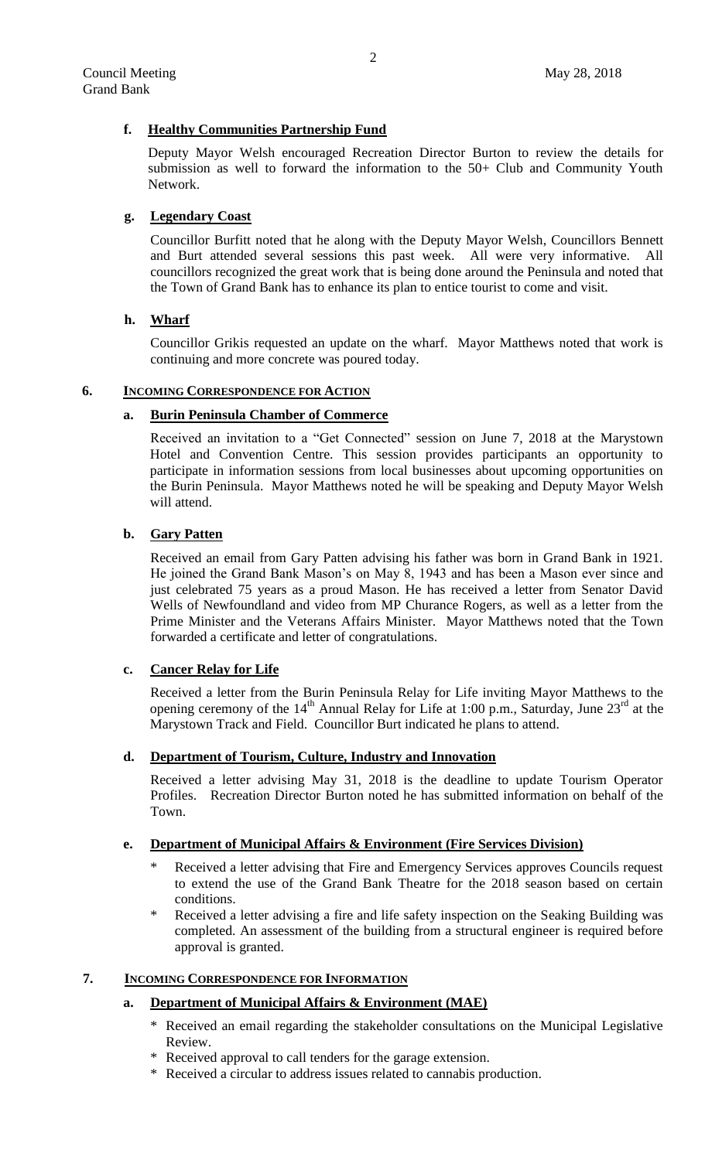# **f. Healthy Communities Partnership Fund**

Deputy Mayor Welsh encouraged Recreation Director Burton to review the details for submission as well to forward the information to the 50+ Club and Community Youth Network.

# **g. Legendary Coast**

Councillor Burfitt noted that he along with the Deputy Mayor Welsh, Councillors Bennett and Burt attended several sessions this past week. All were very informative. All councillors recognized the great work that is being done around the Peninsula and noted that the Town of Grand Bank has to enhance its plan to entice tourist to come and visit.

# **h. Wharf**

Councillor Grikis requested an update on the wharf. Mayor Matthews noted that work is continuing and more concrete was poured today.

# **6. INCOMING CORRESPONDENCE FOR ACTION**

# **a. Burin Peninsula Chamber of Commerce**

Received an invitation to a "Get Connected" session on June 7, 2018 at the Marystown Hotel and Convention Centre. This session provides participants an opportunity to participate in information sessions from local businesses about upcoming opportunities on the Burin Peninsula. Mayor Matthews noted he will be speaking and Deputy Mayor Welsh will attend.

# **b. Gary Patten**

Received an email from Gary Patten advising his father was born in Grand Bank in 1921. He joined the Grand Bank Mason's on May 8, 1943 and has been a Mason ever since and just celebrated 75 years as a proud Mason. He has received a letter from Senator David Wells of Newfoundland and video from MP Churance Rogers, as well as a letter from the Prime Minister and the Veterans Affairs Minister. Mayor Matthews noted that the Town forwarded a certificate and letter of congratulations.

# **c. Cancer Relay for Life**

Received a letter from the Burin Peninsula Relay for Life inviting Mayor Matthews to the opening ceremony of the  $14<sup>th</sup>$  Annual Relay for Life at 1:00 p.m., Saturday, June  $23<sup>rd</sup>$  at the Marystown Track and Field. Councillor Burt indicated he plans to attend.

# **d. Department of Tourism, Culture, Industry and Innovation**

Received a letter advising May 31, 2018 is the deadline to update Tourism Operator Profiles. Recreation Director Burton noted he has submitted information on behalf of the Town.

# **e. Department of Municipal Affairs & Environment (Fire Services Division)**

- Received a letter advising that Fire and Emergency Services approves Councils request to extend the use of the Grand Bank Theatre for the 2018 season based on certain conditions.
- Received a letter advising a fire and life safety inspection on the Seaking Building was completed. An assessment of the building from a structural engineer is required before approval is granted.

# **7. INCOMING CORRESPONDENCE FOR INFORMATION**

# **a. Department of Municipal Affairs & Environment (MAE)**

- \* Received an email regarding the stakeholder consultations on the Municipal Legislative Review.
- \* Received approval to call tenders for the garage extension.
- \* Received a circular to address issues related to cannabis production.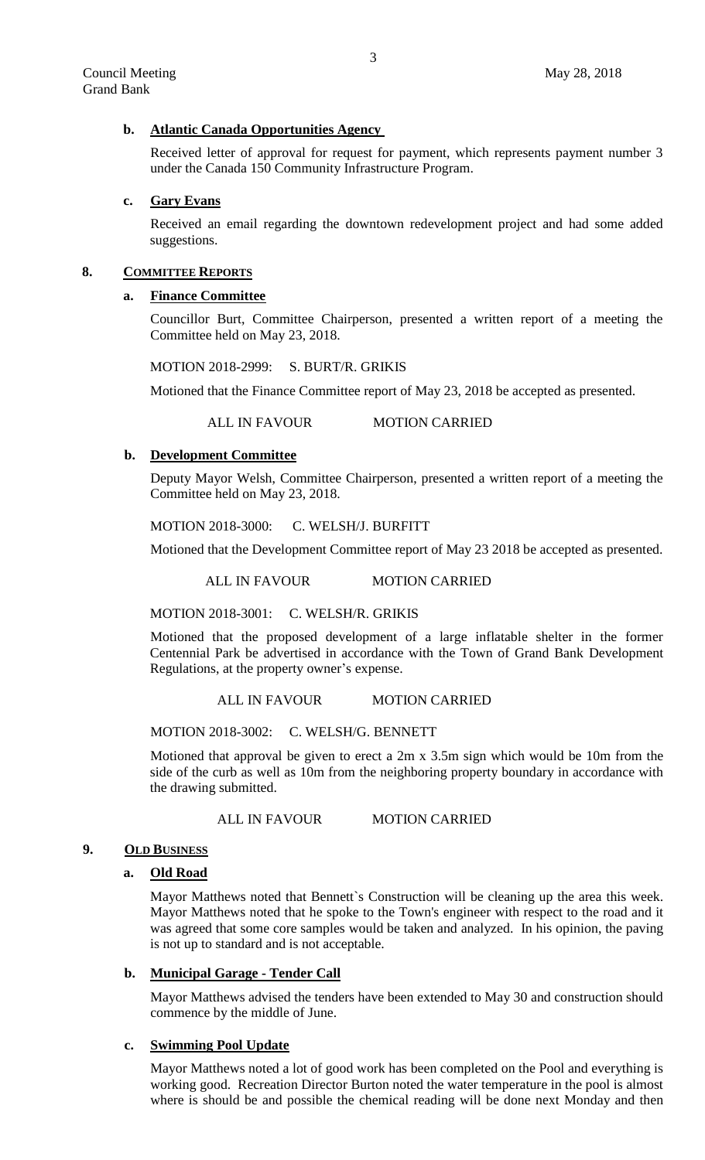# **b. Atlantic Canada Opportunities Agency**

Received letter of approval for request for payment, which represents payment number 3 under the Canada 150 Community Infrastructure Program.

#### **c. Gary Evans**

Received an email regarding the downtown redevelopment project and had some added suggestions.

#### **8. COMMITTEE REPORTS**

#### **a. Finance Committee**

Councillor Burt, Committee Chairperson, presented a written report of a meeting the Committee held on May 23, 2018.

MOTION 2018-2999: S. BURT/R. GRIKIS

Motioned that the Finance Committee report of May 23, 2018 be accepted as presented.

ALL IN FAVOUR MOTION CARRIED

#### **b. Development Committee**

Deputy Mayor Welsh, Committee Chairperson, presented a written report of a meeting the Committee held on May 23, 2018.

MOTION 2018-3000: C. WELSH/J. BURFITT

Motioned that the Development Committee report of May 23 2018 be accepted as presented.

ALL IN FAVOUR MOTION CARRIED

MOTION 2018-3001: C. WELSH/R. GRIKIS

Motioned that the proposed development of a large inflatable shelter in the former Centennial Park be advertised in accordance with the Town of Grand Bank Development Regulations, at the property owner's expense.

ALL IN FAVOUR MOTION CARRIED

MOTION 2018-3002: C. WELSH/G. BENNETT

Motioned that approval be given to erect a 2m x 3.5m sign which would be 10m from the side of the curb as well as 10m from the neighboring property boundary in accordance with the drawing submitted.

ALL IN FAVOUR MOTION CARRIED

#### **9. OLD BUSINESS**

#### **a. Old Road**

Mayor Matthews noted that Bennett`s Construction will be cleaning up the area this week. Mayor Matthews noted that he spoke to the Town's engineer with respect to the road and it was agreed that some core samples would be taken and analyzed. In his opinion, the paving is not up to standard and is not acceptable.

# **b. Municipal Garage - Tender Call**

Mayor Matthews advised the tenders have been extended to May 30 and construction should commence by the middle of June.

# **c. Swimming Pool Update**

Mayor Matthews noted a lot of good work has been completed on the Pool and everything is working good. Recreation Director Burton noted the water temperature in the pool is almost where is should be and possible the chemical reading will be done next Monday and then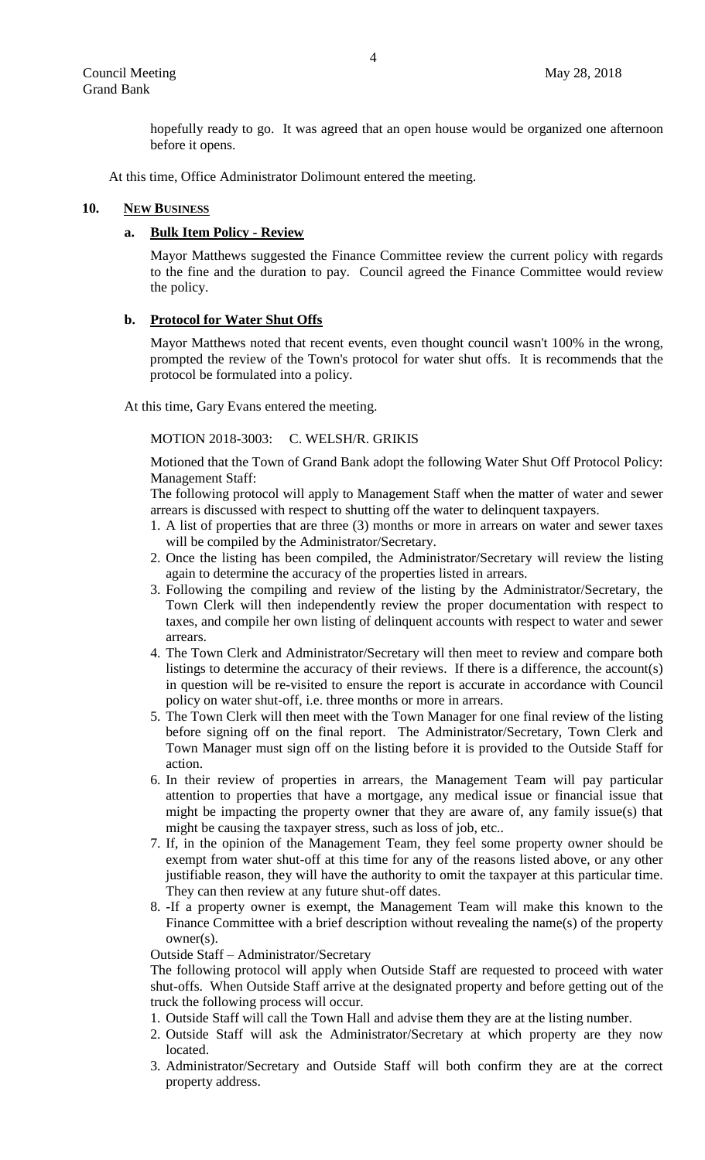hopefully ready to go. It was agreed that an open house would be organized one afternoon before it opens.

At this time, Office Administrator Dolimount entered the meeting.

#### **10. NEW BUSINESS**

#### **a. Bulk Item Policy - Review**

Mayor Matthews suggested the Finance Committee review the current policy with regards to the fine and the duration to pay. Council agreed the Finance Committee would review the policy.

#### **b. Protocol for Water Shut Offs**

Mayor Matthews noted that recent events, even thought council wasn't 100% in the wrong, prompted the review of the Town's protocol for water shut offs. It is recommends that the protocol be formulated into a policy.

At this time, Gary Evans entered the meeting.

#### MOTION 2018-3003: C. WELSH/R. GRIKIS

Motioned that the Town of Grand Bank adopt the following Water Shut Off Protocol Policy: Management Staff:

The following protocol will apply to Management Staff when the matter of water and sewer arrears is discussed with respect to shutting off the water to delinquent taxpayers.

- 1. A list of properties that are three (3) months or more in arrears on water and sewer taxes will be compiled by the Administrator/Secretary.
- 2. Once the listing has been compiled, the Administrator/Secretary will review the listing again to determine the accuracy of the properties listed in arrears.
- 3. Following the compiling and review of the listing by the Administrator/Secretary, the Town Clerk will then independently review the proper documentation with respect to taxes, and compile her own listing of delinquent accounts with respect to water and sewer arrears.
- 4. The Town Clerk and Administrator/Secretary will then meet to review and compare both listings to determine the accuracy of their reviews. If there is a difference, the account(s) in question will be re-visited to ensure the report is accurate in accordance with Council policy on water shut-off, i.e. three months or more in arrears.
- 5. The Town Clerk will then meet with the Town Manager for one final review of the listing before signing off on the final report. The Administrator/Secretary, Town Clerk and Town Manager must sign off on the listing before it is provided to the Outside Staff for action.
- 6. In their review of properties in arrears, the Management Team will pay particular attention to properties that have a mortgage, any medical issue or financial issue that might be impacting the property owner that they are aware of, any family issue(s) that might be causing the taxpayer stress, such as loss of job, etc..
- 7. If, in the opinion of the Management Team, they feel some property owner should be exempt from water shut-off at this time for any of the reasons listed above, or any other justifiable reason, they will have the authority to omit the taxpayer at this particular time. They can then review at any future shut-off dates.
- 8. -If a property owner is exempt, the Management Team will make this known to the Finance Committee with a brief description without revealing the name(s) of the property owner(s).

Outside Staff – Administrator/Secretary

The following protocol will apply when Outside Staff are requested to proceed with water shut-offs. When Outside Staff arrive at the designated property and before getting out of the truck the following process will occur.

- 1. Outside Staff will call the Town Hall and advise them they are at the listing number.
- 2. Outside Staff will ask the Administrator/Secretary at which property are they now located.
- 3. Administrator/Secretary and Outside Staff will both confirm they are at the correct property address.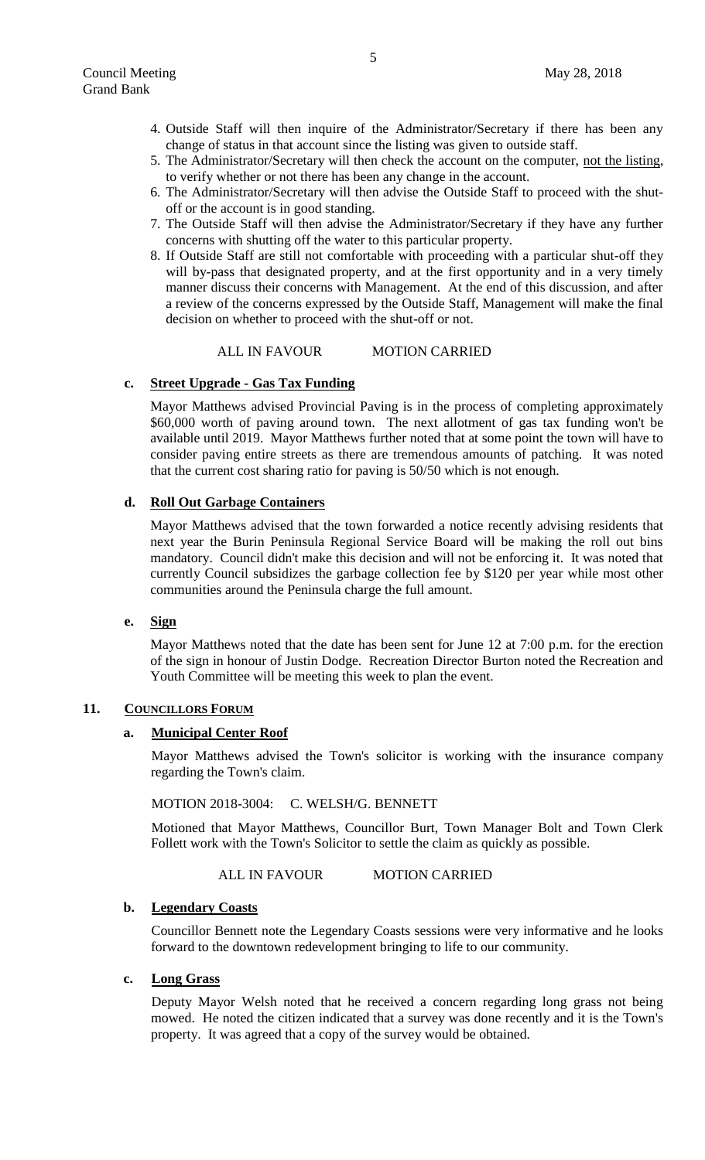- 4. Outside Staff will then inquire of the Administrator/Secretary if there has been any change of status in that account since the listing was given to outside staff.
- 5. The Administrator/Secretary will then check the account on the computer, not the listing, to verify whether or not there has been any change in the account.
- 6. The Administrator/Secretary will then advise the Outside Staff to proceed with the shutoff or the account is in good standing.
- 7. The Outside Staff will then advise the Administrator/Secretary if they have any further concerns with shutting off the water to this particular property.
- 8. If Outside Staff are still not comfortable with proceeding with a particular shut-off they will by-pass that designated property, and at the first opportunity and in a very timely manner discuss their concerns with Management. At the end of this discussion, and after a review of the concerns expressed by the Outside Staff, Management will make the final decision on whether to proceed with the shut-off or not.

#### ALL IN FAVOUR MOTION CARRIED

# **c. Street Upgrade - Gas Tax Funding**

Mayor Matthews advised Provincial Paving is in the process of completing approximately \$60,000 worth of paving around town. The next allotment of gas tax funding won't be available until 2019. Mayor Matthews further noted that at some point the town will have to consider paving entire streets as there are tremendous amounts of patching. It was noted that the current cost sharing ratio for paving is 50/50 which is not enough.

#### **d. Roll Out Garbage Containers**

Mayor Matthews advised that the town forwarded a notice recently advising residents that next year the Burin Peninsula Regional Service Board will be making the roll out bins mandatory. Council didn't make this decision and will not be enforcing it. It was noted that currently Council subsidizes the garbage collection fee by \$120 per year while most other communities around the Peninsula charge the full amount.

#### **e. Sign**

Mayor Matthews noted that the date has been sent for June 12 at 7:00 p.m. for the erection of the sign in honour of Justin Dodge. Recreation Director Burton noted the Recreation and Youth Committee will be meeting this week to plan the event.

#### 11. **COUNCILLORS FORUM**

#### **a. Municipal Center Roof**

Mayor Matthews advised the Town's solicitor is working with the insurance company regarding the Town's claim.

MOTION 2018-3004: C. WELSH/G. BENNETT

Motioned that Mayor Matthews, Councillor Burt, Town Manager Bolt and Town Clerk Follett work with the Town's Solicitor to settle the claim as quickly as possible.

ALL IN FAVOUR MOTION CARRIED

#### **b. Legendary Coasts**

Councillor Bennett note the Legendary Coasts sessions were very informative and he looks forward to the downtown redevelopment bringing to life to our community.

#### **c. Long Grass**

Deputy Mayor Welsh noted that he received a concern regarding long grass not being mowed. He noted the citizen indicated that a survey was done recently and it is the Town's property. It was agreed that a copy of the survey would be obtained.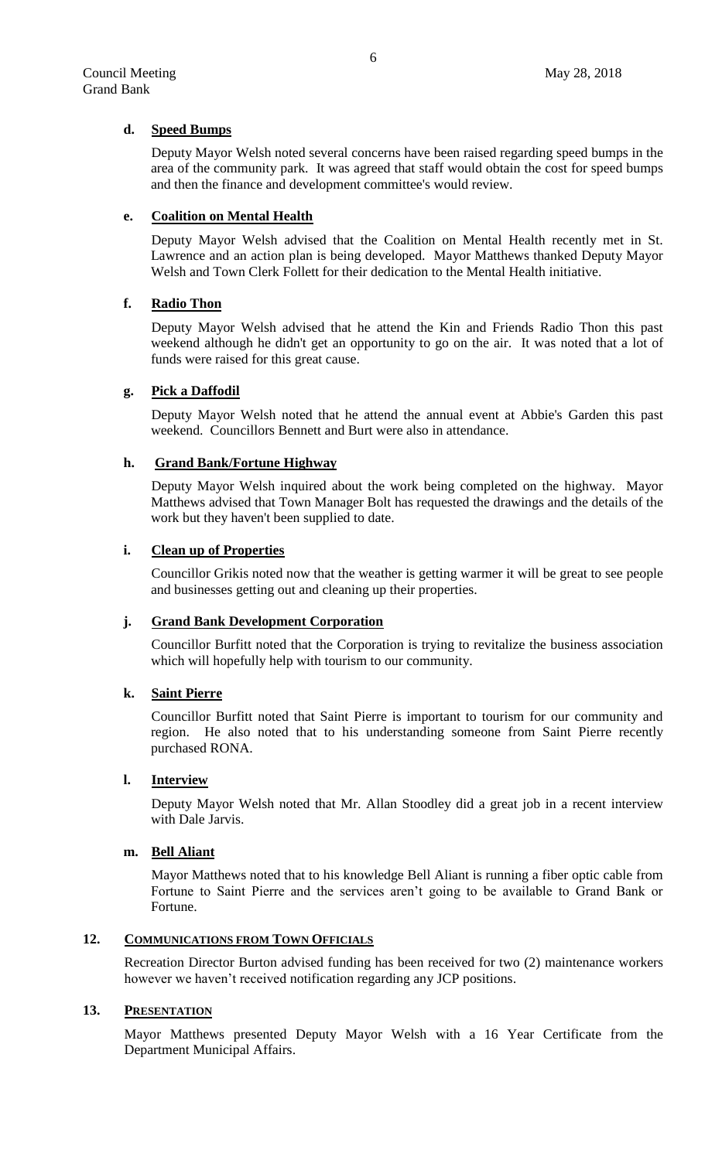# **d. Speed Bumps**

Deputy Mayor Welsh noted several concerns have been raised regarding speed bumps in the area of the community park. It was agreed that staff would obtain the cost for speed bumps and then the finance and development committee's would review.

#### **e. Coalition on Mental Health**

Deputy Mayor Welsh advised that the Coalition on Mental Health recently met in St. Lawrence and an action plan is being developed. Mayor Matthews thanked Deputy Mayor Welsh and Town Clerk Follett for their dedication to the Mental Health initiative.

# **f. Radio Thon**

Deputy Mayor Welsh advised that he attend the Kin and Friends Radio Thon this past weekend although he didn't get an opportunity to go on the air. It was noted that a lot of funds were raised for this great cause.

#### **g. Pick a Daffodil**

Deputy Mayor Welsh noted that he attend the annual event at Abbie's Garden this past weekend. Councillors Bennett and Burt were also in attendance.

# **h. Grand Bank/Fortune Highway**

Deputy Mayor Welsh inquired about the work being completed on the highway. Mayor Matthews advised that Town Manager Bolt has requested the drawings and the details of the work but they haven't been supplied to date.

# **i. Clean up of Properties**

Councillor Grikis noted now that the weather is getting warmer it will be great to see people and businesses getting out and cleaning up their properties.

# **j. Grand Bank Development Corporation**

Councillor Burfitt noted that the Corporation is trying to revitalize the business association which will hopefully help with tourism to our community.

# **k. Saint Pierre**

Councillor Burfitt noted that Saint Pierre is important to tourism for our community and region. He also noted that to his understanding someone from Saint Pierre recently purchased RONA.

# **l. Interview**

Deputy Mayor Welsh noted that Mr. Allan Stoodley did a great job in a recent interview with Dale Jarvis.

# **m. Bell Aliant**

Mayor Matthews noted that to his knowledge Bell Aliant is running a fiber optic cable from Fortune to Saint Pierre and the services aren't going to be available to Grand Bank or Fortune.

# **12. COMMUNICATIONS FROM TOWN OFFICIALS**

Recreation Director Burton advised funding has been received for two (2) maintenance workers however we haven't received notification regarding any JCP positions.

# **13. PRESENTATION**

Mayor Matthews presented Deputy Mayor Welsh with a 16 Year Certificate from the Department Municipal Affairs.